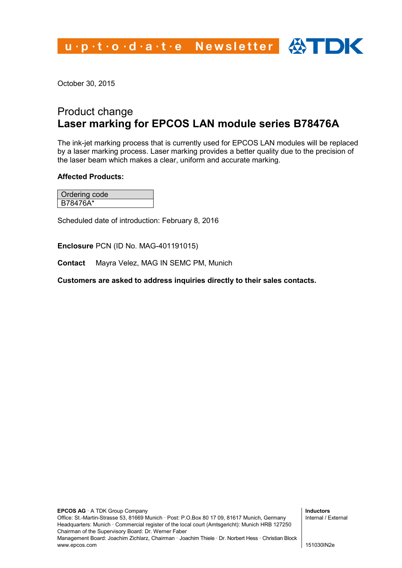u.p.t.o.d.a.t.e Newsletter  $\bigoplus$  IDK

October 30, 2015

## Product change **Laser marking for EPCOS LAN module series B78476A**

The ink-jet marking process that is currently used for EPCOS LAN modules will be replaced by a laser marking process. Laser marking provides a better quality due to the precision of the laser beam which makes a clear, uniform and accurate marking.

## **Affected Products:**

Ordering code B78476A\*

Scheduled date of introduction: February 8, 2016

**Enclosure** PCN (ID No. MAG-401191015)

**Contact** Mayra Velez, MAG IN SEMC PM, Munich

**Customers are asked to address inquiries directly to their sales contacts.**

**Inductors** Internal / External